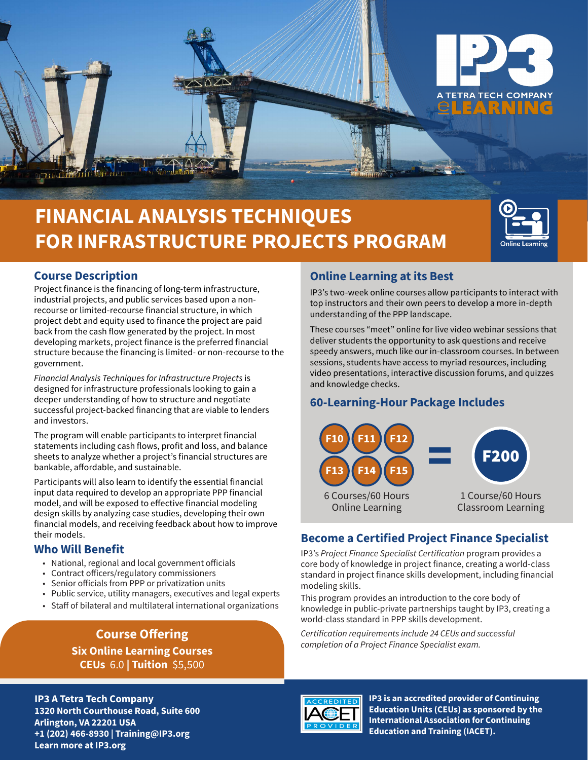

# **FINANCIAL ANALYSIS TECHNIQUES FOR INFRASTRUCTURE PROJECTS PROGRAM**



# **Course Description**

Project finance is the financing of long-term infrastructure, industrial projects, and public services based upon a nonrecourse or limited-recourse financial structure, in which project debt and equity used to finance the project are paid back from the cash flow generated by the project. In most developing markets, project finance is the preferred financial structure because the financing is limited- or non-recourse to the government.

*Financial Analysis Techniques for Infrastructure Projects* is designed for infrastructure professionals looking to gain a deeper understanding of how to structure and negotiate successful project-backed financing that are viable to lenders and investors.

The program will enable participants to interpret financial statements including cash flows, profit and loss, and balance sheets to analyze whether a project's financial structures are bankable, affordable, and sustainable.

Participants will also learn to identify the essential financial input data required to develop an appropriate PPP financial model, and will be exposed to effective financial modeling design skills by analyzing case studies, developing their own financial models, and receiving feedback about how to improve their models.

# **Who Will Benefit**

- National, regional and local government officials
- Contract officers/regulatory commissioners
- Senior officials from PPP or privatization units
- Public service, utility managers, executives and legal experts
- Staff of bilateral and multilateral international organizations

# **Course Offering Six Online Learning Courses CEUs** 6.0 **| Tuition** \$5,500

**IP3 A Tetra Tech Company 1320 North Courthouse Road, Suite 600 Arlington, VA 22201 USA +1 (202) 466-8930 | Training@IP3.org Learn more at IP3.org**

# **Online Learning at its Best**

IP3's two-week online courses allow participants to interact with top instructors and their own peers to develop a more in-depth understanding of the PPP landscape.

These courses "meet" online for live video webinar sessions that deliver students the opportunity to ask questions and receive speedy answers, much like our in-classroom courses. In between sessions, students have access to myriad resources, including video presentations, interactive discussion forums, and quizzes and knowledge checks.

# **60-Learning-Hour Package Includes**



# **Become a Certified Project Finance Specialist**

IP3's *Project Finance Specialist Certification* program provides a core body of knowledge in project finance, creating a world-class standard in project finance skills development, including financial modeling skills.

This program provides an introduction to the core body of knowledge in public-private partnerships taught by IP3, creating a world-class standard in PPP skills development.

*Certification requirements include 24 CEUs and successful completion of a Project Finance Specialist exam.* 



**IP3 is an accredited provider of Continuing Education Units (CEUs) as sponsored by the International Association for Continuing Education and Training (IACET).**